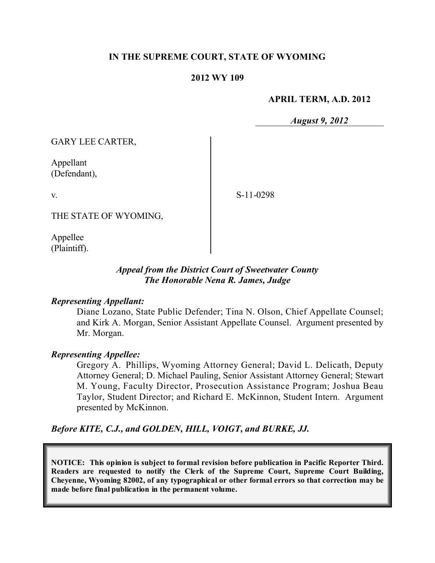### **IN THE SUPREME COURT, STATE OF WYOMING**

#### **2012 WY 109**

#### **APRIL TERM, A.D. 2012**

*August 9, 2012*

GARY LEE CARTER,

Appellant (Defendant),

v.

S-11-0298

THE STATE OF WYOMING,

Appellee (Plaintiff).

### *Appeal from the District Court of Sweetwater County The Honorable Nena R. James, Judge*

#### *Representing Appellant:*

Diane Lozano, State Public Defender; Tina N. Olson, Chief Appellate Counsel; and Kirk A. Morgan, Senior Assistant Appellate Counsel. Argument presented by Mr. Morgan.

#### *Representing Appellee:*

Gregory A. Phillips, Wyoming Attorney General; David L. Delicath, Deputy Attorney General; D. Michael Pauling, Senior Assistant Attorney General; Stewart M. Young, Faculty Director, Prosecution Assistance Program; Joshua Beau Taylor, Student Director; and Richard E. McKinnon, Student Intern. Argument presented by McKinnon.

*Before KITE, C.J., and GOLDEN, HILL, VOIGT, and BURKE, JJ.*

**NOTICE: This opinion is subject to formal revision before publication in Pacific Reporter Third. Readers are requested to notify the Clerk of the Supreme Court, Supreme Court Building, Cheyenne, Wyoming 82002, of any typographical or other formal errors so that correction may be made before final publication in the permanent volume.**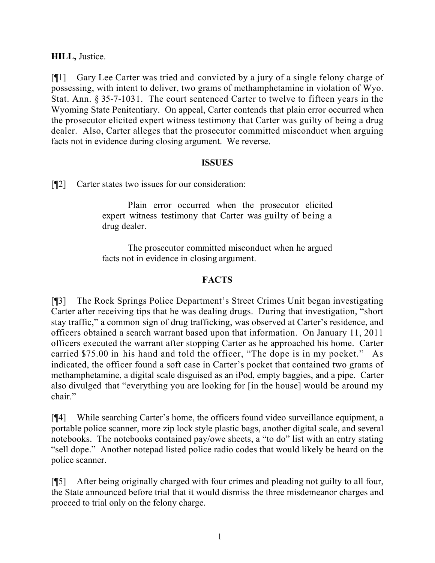## **HILL,** Justice.

[¶1] Gary Lee Carter was tried and convicted by a jury of a single felony charge of possessing, with intent to deliver, two grams of methamphetamine in violation of Wyo. Stat. Ann. § 35-7-1031. The court sentenced Carter to twelve to fifteen years in the Wyoming State Penitentiary. On appeal, Carter contends that plain error occurred when the prosecutor elicited expert witness testimony that Carter was guilty of being a drug dealer. Also, Carter alleges that the prosecutor committed misconduct when arguing facts not in evidence during closing argument. We reverse.

### **ISSUES**

[¶2] Carter states two issues for our consideration:

Plain error occurred when the prosecutor elicited expert witness testimony that Carter was guilty of being a drug dealer.

The prosecutor committed misconduct when he argued facts not in evidence in closing argument.

# **FACTS**

[¶3] The Rock Springs Police Department's Street Crimes Unit began investigating Carter after receiving tips that he was dealing drugs. During that investigation, "short stay traffic," a common sign of drug trafficking, was observed at Carter's residence, and officers obtained a search warrant based upon that information. On January 11, 2011 officers executed the warrant after stopping Carter as he approached his home. Carter carried \$75.00 in his hand and told the officer, "The dope is in my pocket." As indicated, the officer found a soft case in Carter's pocket that contained two grams of methamphetamine, a digital scale disguised as an iPod, empty baggies, and a pipe. Carter also divulged that "everything you are looking for [in the house] would be around my chair"

[¶4] While searching Carter's home, the officers found video surveillance equipment, a portable police scanner, more zip lock style plastic bags, another digital scale, and several notebooks. The notebooks contained pay/owe sheets, a "to do" list with an entry stating "sell dope." Another notepad listed police radio codes that would likely be heard on the police scanner.

[¶5] After being originally charged with four crimes and pleading not guilty to all four, the State announced before trial that it would dismiss the three misdemeanor charges and proceed to trial only on the felony charge.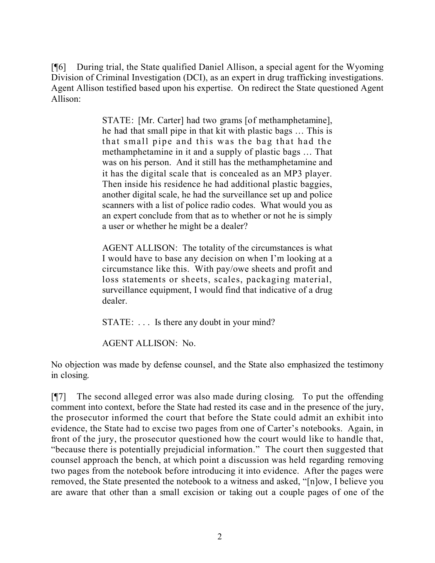[¶6] During trial, the State qualified Daniel Allison, a special agent for the Wyoming Division of Criminal Investigation (DCI), as an expert in drug trafficking investigations. Agent Allison testified based upon his expertise. On redirect the State questioned Agent Allison:

> STATE: [Mr. Carter] had two grams [of methamphetamine], he had that small pipe in that kit with plastic bags … This is that small pipe and this was the bag that had the methamphetamine in it and a supply of plastic bags … That was on his person. And it still has the methamphetamine and it has the digital scale that is concealed as an MP3 player. Then inside his residence he had additional plastic baggies, another digital scale, he had the surveillance set up and police scanners with a list of police radio codes. What would you as an expert conclude from that as to whether or not he is simply a user or whether he might be a dealer?

> AGENT ALLISON: The totality of the circumstances is what I would have to base any decision on when I'm looking at a circumstance like this. With pay/owe sheets and profit and loss statements or sheets, scales, packaging material, surveillance equipment, I would find that indicative of a drug dealer.

STATE: ... Is there any doubt in your mind?

AGENT ALLISON: No.

No objection was made by defense counsel, and the State also emphasized the testimony in closing.

[¶7] The second alleged error was also made during closing. To put the offending comment into context, before the State had rested its case and in the presence of the jury, the prosecutor informed the court that before the State could admit an exhibit into evidence, the State had to excise two pages from one of Carter's notebooks. Again, in front of the jury, the prosecutor questioned how the court would like to handle that, "because there is potentially prejudicial information." The court then suggested that counsel approach the bench, at which point a discussion was held regarding removing two pages from the notebook before introducing it into evidence. After the pages were removed, the State presented the notebook to a witness and asked, "[n]ow, I believe you are aware that other than a small excision or taking out a couple pages of one of the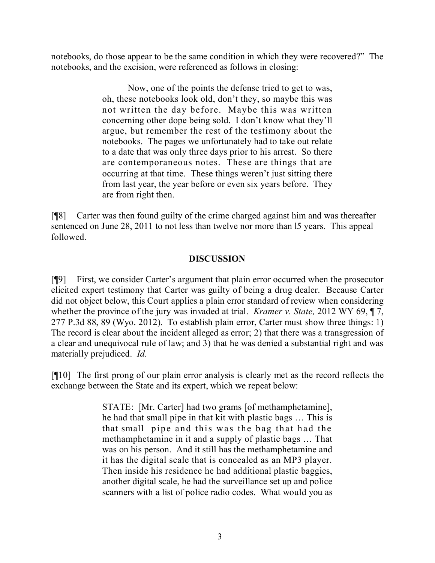notebooks, do those appear to be the same condition in which they were recovered?" The notebooks, and the excision, were referenced as follows in closing:

> Now, one of the points the defense tried to get to was, oh, these notebooks look old, don't they, so maybe this was not written the day before. Maybe this was written concerning other dope being sold. I don't know what they'll argue, but remember the rest of the testimony about the notebooks. The pages we unfortunately had to take out relate to a date that was only three days prior to his arrest. So there are contemporaneous notes. These are things that are occurring at that time. These things weren't just sitting there from last year, the year before or even six years before. They are from right then.

[¶8] Carter was then found guilty of the crime charged against him and was thereafter sentenced on June 28, 2011 to not less than twelve nor more than l5 years. This appeal followed.

## **DISCUSSION**

[¶9] First, we consider Carter's argument that plain error occurred when the prosecutor elicited expert testimony that Carter was guilty of being a drug dealer. Because Carter did not object below, this Court applies a plain error standard of review when considering whether the province of the jury was invaded at trial. *Kramer v. State,* 2012 WY 69, ¶ 7, 277 P.3d 88, 89 (Wyo. 2012). To establish plain error, Carter must show three things: 1) The record is clear about the incident alleged as error; 2) that there was a transgression of a clear and unequivocal rule of law; and 3) that he was denied a substantial right and was materially prejudiced. *Id.*

[¶10] The first prong of our plain error analysis is clearly met as the record reflects the exchange between the State and its expert, which we repeat below:

> STATE: [Mr. Carter] had two grams [of methamphetamine], he had that small pipe in that kit with plastic bags … This is that small pipe and this was the bag that had the methamphetamine in it and a supply of plastic bags … That was on his person. And it still has the methamphetamine and it has the digital scale that is concealed as an MP3 player. Then inside his residence he had additional plastic baggies, another digital scale, he had the surveillance set up and police scanners with a list of police radio codes. What would you as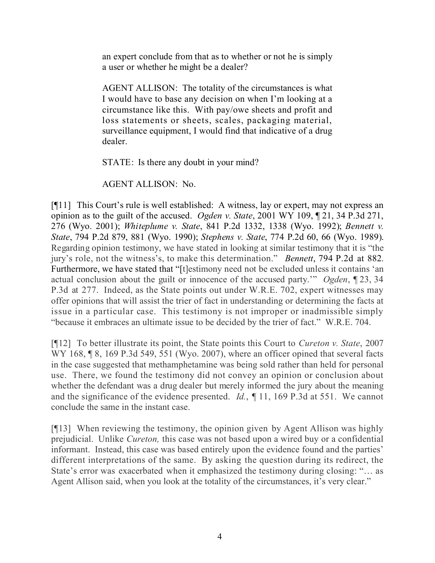an expert conclude from that as to whether or not he is simply a user or whether he might be a dealer?

AGENT ALLISON: The totality of the circumstances is what I would have to base any decision on when I'm looking at a circumstance like this. With pay/owe sheets and profit and loss statements or sheets, scales, packaging material, surveillance equipment, I would find that indicative of a drug dealer.

STATE: Is there any doubt in your mind?

AGENT ALLISON: No.

[¶11] This Court's rule is well established: A witness, lay or expert, may not express an opinion as to the guilt of the accused. *Ogden v. State*, 2001 WY 109, ¶ 21, 34 P.3d 271, 276 (Wyo. 2001); *Whiteplume v. State*, 841 P.2d 1332, 1338 (Wyo. 1992); *Bennett v. State*, 794 P.2d 879, 881 (Wyo. 1990); *Stephens v. State*, 774 P.2d 60, 66 (Wyo. 1989). Regarding opinion testimony, we have stated in looking at similar testimony that it is "the jury's role, not the witness's, to make this determination." *Bennett*, 794 P.2d at 882. Furthermore, we have stated that "[t]estimony need not be excluded unless it contains 'an actual conclusion about the guilt or innocence of the accused party.'" *Ogden*, ¶ 23, 34 P.3d at 277. Indeed, as the State points out under W.R.E. 702, expert witnesses may offer opinions that will assist the trier of fact in understanding or determining the facts at issue in a particular case. This testimony is not improper or inadmissible simply "because it embraces an ultimate issue to be decided by the trier of fact." W.R.E. 704.

[¶12] To better illustrate its point, the State points this Court to *Cureton v. State*, 2007 WY 168, ¶ 8, 169 P.3d 549, 551 (Wyo. 2007), where an officer opined that several facts in the case suggested that methamphetamine was being sold rather than held for personal use. There, we found the testimony did not convey an opinion or conclusion about whether the defendant was a drug dealer but merely informed the jury about the meaning and the significance of the evidence presented. *Id.*, *¶* 11, 169 P.3d at 551. We cannot conclude the same in the instant case.

[¶13] When reviewing the testimony, the opinion given by Agent Allison was highly prejudicial. Unlike *Cureton,* this case was not based upon a wired buy or a confidential informant. Instead, this case was based entirely upon the evidence found and the parties' different interpretations of the same. By asking the question during its redirect, the State's error was exacerbated when it emphasized the testimony during closing: "… as Agent Allison said, when you look at the totality of the circumstances, it's very clear."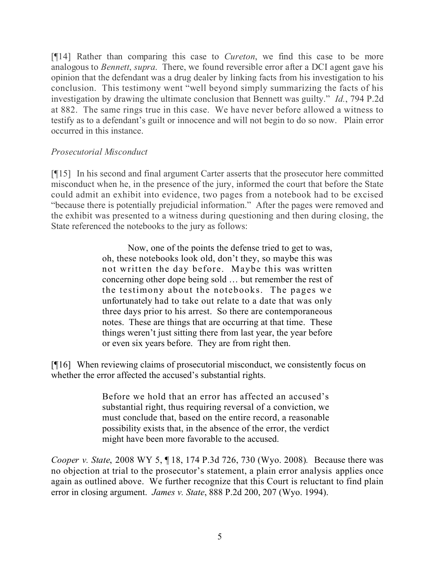[¶14] Rather than comparing this case to *Cureton*, we find this case to be more analogous to *Bennett*, *supra*. There, we found reversible error after a DCI agent gave his opinion that the defendant was a drug dealer by linking facts from his investigation to his conclusion. This testimony went "well beyond simply summarizing the facts of his investigation by drawing the ultimate conclusion that Bennett was guilty." *Id.*, 794 P.2d at 882. The same rings true in this case. We have never before allowed a witness to testify as to a defendant's guilt or innocence and will not begin to do so now. Plain error occurred in this instance.

# *Prosecutorial Misconduct*

[¶15] In his second and final argument Carter asserts that the prosecutor here committed misconduct when he, in the presence of the jury, informed the court that before the State could admit an exhibit into evidence, two pages from a notebook had to be excised "because there is potentially prejudicial information." After the pages were removed and the exhibit was presented to a witness during questioning and then during closing, the State referenced the notebooks to the jury as follows:

> Now, one of the points the defense tried to get to was, oh, these notebooks look old, don't they, so maybe this was not written the day before. Maybe this was written concerning other dope being sold … but remember the rest of the testimony about the notebooks. The pages we unfortunately had to take out relate to a date that was only three days prior to his arrest. So there are contemporaneous notes. These are things that are occurring at that time. These things weren't just sitting there from last year, the year before or even six years before. They are from right then.

[¶16] When reviewing claims of prosecutorial misconduct, we consistently focus on whether the error affected the accused's substantial rights.

> Before we hold that an error has affected an accused's substantial right, thus requiring reversal of a conviction, we must conclude that, based on the entire record, a reasonable possibility exists that, in the absence of the error, the verdict might have been more favorable to the accused.

*Cooper v. State*, 2008 WY 5, ¶ 18, 174 P.3d 726, 730 (Wyo. 2008)*.* Because there was no objection at trial to the prosecutor's statement, a plain error analysis applies once again as outlined above. We further recognize that this Court is reluctant to find plain error in closing argument. *James v. State*, 888 P.2d 200, 207 (Wyo. 1994).